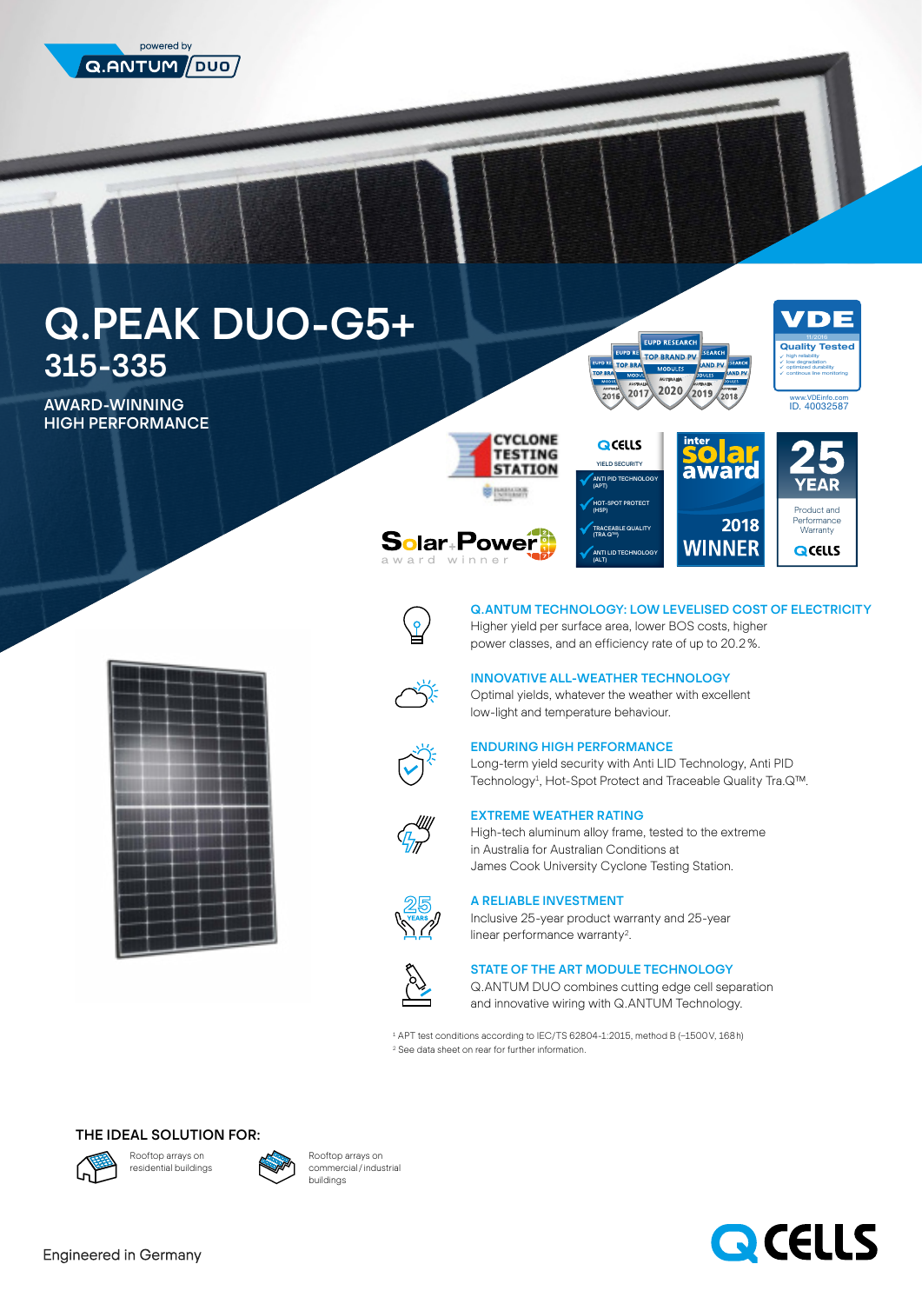

# Q.PEAK DUO-G5+ 315-335

AWARD-WINNING **HIGH PERFORMANCE** 



**/DE** 11/2016<br>Quality Tested ¥ high reliability × low degradation ٧ optimized durability × continous line monitoring

www.VDEinfo.com ID. 40032587



**Solar**+Power<sup>9</sup>





2018





Q.ANTUM TECHNOLOGY: LOW LEVELISED COST OF ELECTRICITY Higher yield per surface area, lower BOS costs, higher power classes, and an efficiency rate of up to 20.2 %.



INNOVATIVE ALL-WEATHER TECHNOLOGY Optimal yields, whatever the weather with excellent low-light and temperature behaviour.

# ENDURING HIGH PERFORMANCE

Long-term yield security with Anti LID Technology, Anti PID Technology<sup>1</sup>, Hot-Spot Protect and Traceable Quality Tra.Q™.



### EXTREME WEATHER RATING

High-tech aluminum alloy frame, tested to the extreme in Australia for Australian Conditions at James Cook University Cyclone Testing Station.



A RELIABLE INVESTMENT

Inclusive 25-year product warranty and 25-year linear performance warranty<sup>2</sup>.



# STATE OF THE ART MODULE TECHNOLOGY

Q.ANTUM DUO combines cutting edge cell separation and innovative wiring with Q.ANTUM Technology.

1 APT test conditions according to IEC/TS 62804-1:2015, method B (−1500 V, 168 h) 2 See data sheet on rear for further information.

# THE IDEAL SOLUTION FOR:





Rooftop arrays on commercial / industrial buildings